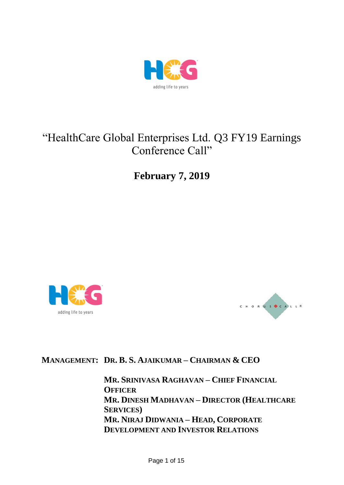

# "HealthCare Global Enterprises Ltd. Q3 FY19 Earnings Conference Call"

**February 7, 2019**





# **MANAGEMENT: DR. B. S. AJAIKUMAR – CHAIRMAN & CEO**

**MR. SRINIVASA RAGHAVAN – CHIEF FINANCIAL OFFICER MR. DINESH MADHAVAN – DIRECTOR (HEALTHCARE SERVICES) MR. NIRAJ DIDWANIA – HEAD, CORPORATE DEVELOPMENT AND INVESTOR RELATIONS**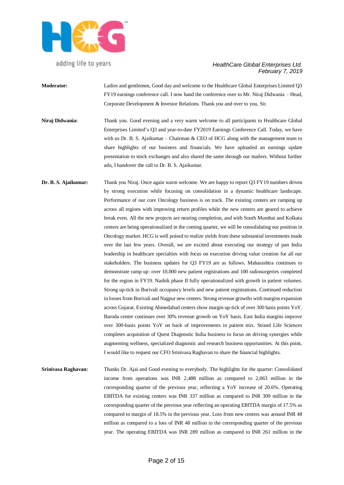

- **Moderator:** Ladies and gentlemen, Good day and welcome to the Healthcare Global Enterprises Limited Q3 FY19 earnings conference call. I now hand the conference over to Mr. Niraj Didwania – Head, Corporate Development & Investor Relations. Thank you and over to you, Sir.
- **Niraj Didwania:** Thank you. Good evening and a very warm welcome to all participants to Healthcare Global Enterprises Limited's Q3 and year-to-date FY2019 Earnings Conference Call. Today, we have with us Dr. B. S. Ajaikumar – Chairman  $&$  CEO of HCG along with the management team to share highlights of our business and financials. We have uploaded an earnings update presentation to stock exchanges and also shared the same through our mailers. Without further ado, I handover the call to Dr. B. S. Ajaikumar.
- **Dr. B. S. Ajaikumar:** Thank you Niraj. Once again warm welcome. We are happy to report Q3 FY19 numbers driven by strong execution while focusing on consolidation in a dynamic healthcare landscape. Performance of our core Oncology business is on track. The existing centers are ramping up across all regions with improving return profiles while the new centers are geared to achieve break even. All the new projects are nearing completion, and with South Mumbai and Kolkata centers are being operationalized in the coming quarter, we will be consolidating our position in Oncology market. HCG is well poised to realize yields from these substantial investments made over the last few years. Overall, we are excited about executing our strategy of pan India leadership in healthcare specialties with focus on execution driving value creation for all our stakeholders. The business updates for Q3 FY19 are as follows. Maharashtra continues to demonstrate ramp up: over 10,000 new patient registrations and 100 radiosurgeries completed for the region in FY19. Nashik phase II fully operationalized with growth in patient volumes. Strong up-tick in Borivali occupancy levels and new patient registrations. Continued reduction in losses from Borivali and Nagpur new centers. Strong revenue growths with margins expansion across Gujarat. Existing Ahmedabad centers show margin up-tick of over 300 basis points YoY. Baroda center continues over 30% revenue growth on YoY basis. East India margins improve over 300-basis points YoY on back of improvements in patient mix. Strand Life Sciences completes acquisition of Quest Diagnostic India business to focus on driving synergies while augmenting wellness, specialized diagnostic and research business opportunities. At this point, I would like to request our CFO Srinivasa Raghavan to share the financial highlights.
- **Srinivasa Raghavan:** Thanks Dr. Ajai and Good evening to everybody. The highlights for the quarter: Consolidated income from operations was INR 2,488 million as compared to 2,063 million in the corresponding quarter of the previous year, reflecting a YoY increase of 20.6%. Operating EBITDA for existing centers was INR 337 million as compared to INR 309 million in the corresponding quarter of the previous year reflecting an operating EBITDA margin of 17.5% as compared to margin of 18.5% in the previous year. Loss from new centers was around INR 48 million as compared to a loss of INR 48 million in the corresponding quarter of the previous year. The operating EBITDA was INR 289 million as compared to INR 261 million in the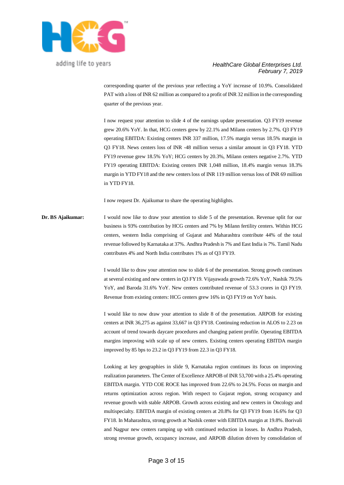

#### *HealthCare Global Enterprises Ltd. February 7, 2019*

corresponding quarter of the previous year reflecting a YoY increase of 10.9%. Consolidated PAT with a loss of INR 62 million as compared to a profit of INR 32 million in the corresponding quarter of the previous year.

I now request your attention to slide 4 of the earnings update presentation. Q3 FY19 revenue grew 20.6% YoY. In that, HCG centers grew by 22.1% and Milann centers by 2.7%. Q3 FY19 operating EBITDA: Existing centers INR 337 million, 17.5% margin versus 18.5% margin in Q3 FY18. News centers loss of INR -48 million versus a similar amount in Q3 FY18. YTD FY19 revenue grew 18.5% YoY; HCG centers by 20.3%, Milann centers negative 2.7%. YTD FY19 operating EBITDA: Existing centers INR 1,048 million, 18.4% margin versus 18.3% margin in YTD FY18 and the new centers loss of INR 119 million versus loss of INR 69 million in YTD FY18.

I now request Dr. Ajaikumar to share the operating highlights.

**Dr. BS Ajaikumar:** I would now like to draw your attention to slide 5 of the presentation. Revenue split for our business is 93% contribution by HCG centers and 7% by Milann fertility centers. Within HCG centers, western India comprising of Gujarat and Maharashtra contribute 44% of the total revenue followed by Karnataka at 37%. Andhra Pradesh is 7% and East India is 7%. Tamil Nadu contributes 4% and North India contributes 1% as of Q3 FY19.

> I would like to draw your attention now to slide 6 of the presentation. Strong growth continues at several existing and new centers in Q3 FY19. Vijayawada growth 72.6% YoY, Nashik 79.5% YoY, and Baroda 31.6% YoY. New centers contributed revenue of 53.3 crores in Q3 FY19. Revenue from existing centers: HCG centers grew 16% in Q3 FY19 on YoY basis.

> I would like to now draw your attention to slide 8 of the presentation. ARPOB for existing centers at INR 36,275 as against 33,667 in Q3 FY18. Continuing reduction in ALOS to 2.23 on account of trend towards daycare procedures and changing patient profile. Operating EBITDA margins improving with scale up of new centers. Existing centers operating EBITDA margin improved by 85 bps to 23.2 in Q3 FY19 from 22.3 in Q3 FY18.

> Looking at key geographies in slide 9, Karnataka region continues its focus on improving realization parameters. The Center of Excellence ARPOB of INR 53,700 with a 25.4% operating EBITDA margin. YTD COE ROCE has improved from 22.6% to 24.5%. Focus on margin and returns optimization across region. With respect to Gujarat region, strong occupancy and revenue growth with stable ARPOB. Growth across existing and new centers in Oncology and multispecialty. EBITDA margin of existing centers at 20.8% for Q3 FY19 from 16.6% for Q3 FY18. In Maharashtra, strong growth at Nashik center with EBITDA margin at 19.8%. Borivali and Nagpur new centers ramping up with continued reduction in losses. In Andhra Pradesh, strong revenue growth, occupancy increase, and ARPOB dilution driven by consolidation of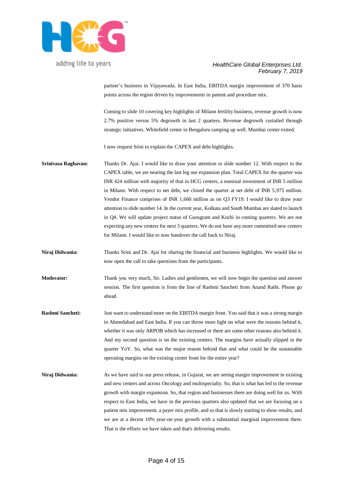

## *HealthCare Global Enterprises Ltd. February 7, 2019*

partner's business in Vijayawada. In East India, EBITDA margin improvement of 370 basis points across the region driven by improvements in patient and procedure mix.

Coming to slide 10 covering key highlights of Milann fertility business, revenue growth is now 2.7% positive versus 5% degrowth in last 2 quarters. Revenue degrowth curtailed through strategic initiatives. Whitefield center in Bengaluru ramping up well. Mumbai center exited.

I now request Srini to explain the CAPEX and debt highlights.

- **Srinivasa Raghavan:** Thanks Dr. Ajai. I would like to draw your attention to slide number 12. With respect to the CAPEX table, we are nearing the last leg our expansion plan. Total CAPEX for the quarter was INR 424 million with majority of that in HCG centers, a nominal investment of INR 5 million in Milann. With respect to net debt, we closed the quarter at net debt of INR 5,975 million. Vendor Finance comprises of INR 1,660 million as on Q3 FY19. I would like to draw your attention to slide number 14. In the current year, Kolkata and South Mumbai are slated to launch in Q4. We will update project status of Gurugram and Kochi in coming quarters. We are not expecting any new centers for next 3 quarters. We do not have any more committed new centers for Milann. I would like to now handover the call back to Niraj.
- **Niraj Didwania:** Thanks Srini and Dr. Ajai for sharing the financial and business highlights. We would like to now open the call to take questions from the participants.
- **Moderator:** Thank you very much, Sir. Ladies and gentlemen, we will now begin the question and answer session. The first question is from the line of Rashmi Sancheti from Anand Rathi. Please go ahead.
- **Rashmi Sancheti:** Just want to understand more on the EBITDA margin front. You said that it was a strong margin in Ahmedabad and East India. If you can throw more light on what were the reasons behind it, whether it was only ARPOB which has increased or there are some other reasons also behind it. And my second question is on the existing centers. The margins have actually slipped in the quarter YoY. So, what was the major reason behind that and what could be the sustainable operating margins on the existing center front for the entire year?
- **Niraj Didwania:** As we have said in our press release, in Gujarat, we are seeing margin improvement in existing and new centers and across Oncology and multispecialty. So, that is what has led to the revenue growth with margin expansion. So, that region and businesses there are doing well for us. With respect to East India, we have in the previous quarters also updated that we are focusing on a patient mix improvement, a payer mix profile, and so that is slowly starting to show results, and we are at a decent 10% year-on-year growth with a substantial marginal improvement there. That is the efforts we have taken and that's delivering results.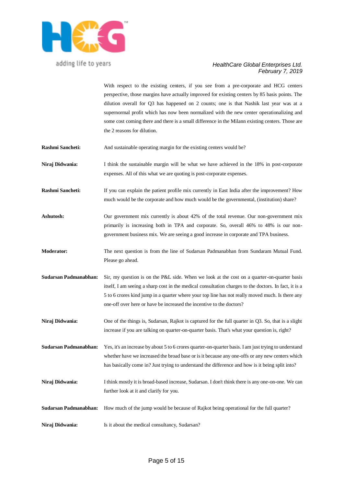

# *HealthCare Global Enterprises Ltd. February 7, 2019*

With respect to the existing centers, if you see from a pre-corporate and HCG centers perspective, those margins have actually improved for existing centers by 85 basis points. The dilution overall for Q3 has happened on 2 counts; one is that Nashik last year was at a supernormal profit which has now been normalized with the new center operationalizing and some cost coming there and there is a small difference in the Milann existing centers. Those are the 2 reasons for dilution.

- **Rashmi Sancheti:** And sustainable operating margin for the existing centers would be?
- **Niraj Didwania:** I think the sustainable margin will be what we have achieved in the 18% in post-corporate expenses. All of this what we are quoting is post-corporate expenses.
- **Rashmi Sancheti:** If you can explain the patient profile mix currently in East India after the improvement? How much would be the corporate and how much would be the governmental, (institution) share?
- Ashutosh: Our government mix currently is about 42% of the total revenue. Our non-government mix primarily is increasing both in TPA and corporate. So, overall 46% to 48% is our nongovernment business mix. We are seeing a good increase in corporate and TPA business.
- **Moderator:** The next question is from the line of Sudarsan Padmanabhan from Sundaram Mutual Fund. Please go ahead.
- **Sudarsan Padmanabhan:** Sir, my question is on the P&L side. When we look at the cost on a quarter-on-quarter basis itself, I am seeing a sharp cost in the medical consultation charges to the doctors. In fact, it is a 5 to 6 crores kind jump in a quarter where your top line has not really moved much. Is there any one-off over here or have be increased the incentive to the doctors?
- **Niraj Didwania:** One of the things is, Sudarsan, Rajkot is captured for the full quarter in Q3. So, that is a slight increase if you are talking on quarter-on-quarter basis. That's what your question is, right?

**Sudarsan Padmanabhan:** Yes, it's an increase by about 5 to 6 crores quarter-on-quarter basis. I am just trying to understand whether have we increased the broad base or is it because any one-offs or any new centers which has basically come in? Just trying to understand the difference and how is it being split into?

- **Niraj Didwania:** I think mostly it is broad-based increase, Sudarsan. I don't think there is any one-on-one. We can further look at it and clarify for you.
- **Sudarsan Padmanabhan:** How much of the jump would be because of Rajkot being operational for the full quarter?
- **Niraj Didwania:** Is it about the medical consultancy, Sudarsan?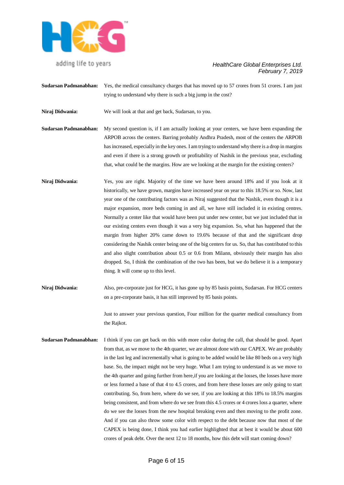

# *HealthCare Global Enterprises Ltd. February 7, 2019*

- **Sudarsan Padmanabhan:** Yes, the medical consultancy charges that has moved up to 57 crores from 51 crores. I am just trying to understand why there is such a big jump in the cost?
- **Niraj Didwania:** We will look at that and get back, Sudarsan, to you.
- **Sudarsan Padmanabhan:** My second question is, if I am actually looking at your centers, we have been expanding the ARPOB across the centers. Barring probably Andhra Pradesh, most of the centers the ARPOB has increased, especially in the key ones. I am trying to understand why there is a drop in margins and even if there is a strong growth or profitability of Nashik in the previous year, excluding that, what could be the margins. How are we looking at the margin for the existing centers?
- **Niraj Didwania:** Yes, you are right. Majority of the time we have been around 18% and if you look at it historically, we have grown, margins have increased year on year to this 18.5% or so. Now, last year one of the contributing factors was as Niraj suggested that the Nashik, even though it is a major expansion, more beds coming in and all, we have still included it in existing centres. Normally a center like that would have been put under new center, but we just included that in our existing centers even though it was a very big expansion. So, what has happened that the margin from higher 20% came down to 19.6% because of that and the significant drop considering the Nashik center being one of the big centers for us. So, that has contributed to this and also slight contribution about 0.5 or 0.6 from Milann, obviously their margin has also dropped. So, I think the combination of the two has been, but we do believe it is a temporary thing. It will come up to this level.
- **Niraj Didwania:** Also, pre-corporate just for HCG, it has gone up by 85 basis points, Sudarsan. For HCG centers on a pre-corporate basis, it has still improved by 85 basis points.

Just to answer your previous question, Four million for the quarter medical consultancy from the Rajkot.

**Sudarsan Padmanabhan:** I think if you can get back on this with more color during the call, that should be good. Apart from that, as we move to the 4th quarter, we are almost done with our CAPEX. We are probably in the last leg and incrementally what is going to be added would be like 80 beds on a very high base. So, the impact might not be very huge. What I am trying to understand is as we move to the 4th quarter and going further from here,if you are looking at the losses, the losses have more or less formed a base of that 4 to 4.5 crores, and from here these losses are only going to start contributing. So, from here, where do we see, if you are looking at this 18% to 18.5% margins being consistent, and from where do we see from this 4.5 crores or 4 crores loss a quarter, where do we see the losses from the new hospital breaking even and then moving to the profit zone. And if you can also throw some color with respect to the debt because now that most of the CAPEX is being done, I think you had earlier highlighted that at best it would be about 600 crores of peak debt. Over the next 12 to 18 months, how this debt will start coming down?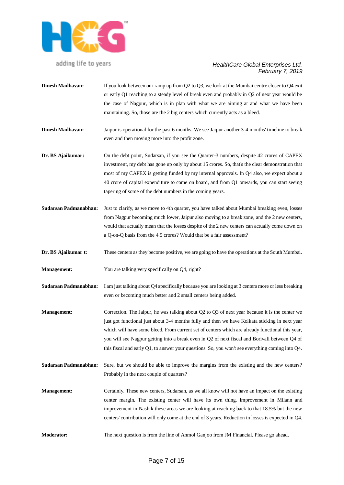

| <b>Dinesh Madhavan:</b> | If you look between our ramp up from $Q2$ to $Q3$ , we look at the Mumbai centre closer to $Q4$ exit<br>or early Q1 reaching to a steady level of break even and probably in Q2 of next year would be<br>the case of Nagpur, which is in plan with what we are aiming at and what we have been<br>maintaining. So, those are the 2 big centers which currently acts as a bleed.                                                                                                                              |
|-------------------------|--------------------------------------------------------------------------------------------------------------------------------------------------------------------------------------------------------------------------------------------------------------------------------------------------------------------------------------------------------------------------------------------------------------------------------------------------------------------------------------------------------------|
| <b>Dinesh Madhavan:</b> | Jaipur is operational for the past 6 months. We see Jaipur another 3-4 months' timeline to break<br>even and then moving more into the profit zone.                                                                                                                                                                                                                                                                                                                                                          |
| Dr. BS Ajaikumar:       | On the debt point, Sudarsan, if you see the Quarter-3 numbers, despite 42 crores of CAPEX<br>investment, my debt has gone up only by about 15 crores. So, that's the clear demonstration that<br>most of my CAPEX is getting funded by my internal approvals. In Q4 also, we expect about a<br>40 crore of capital expenditure to come on board, and from Q1 onwards, you can start seeing<br>tapering of some of the debt numbers in the coming years.                                                      |
| Sudarsan Padmanabhan:   | Just to clarify, as we move to 4th quarter, you have talked about Mumbai breaking even, losses<br>from Nagpur becoming much lower, Jaipur also moving to a break zone, and the 2 new centers,<br>would that actually mean that the losses despite of the 2 new centers can actually come down on<br>a Q-on-Q basis from the 4.5 crores? Would that be a fair assessment?                                                                                                                                     |
| Dr. BS Ajaikumar t:     | These centers as they become positive, we are going to have the operations at the South Mumbai.                                                                                                                                                                                                                                                                                                                                                                                                              |
| <b>Management:</b>      | You are talking very specifically on Q4, right?                                                                                                                                                                                                                                                                                                                                                                                                                                                              |
| Sudarsan Padmanabhan:   | I am just talking about Q4 specifically because you are looking at 3 centers more or less breaking<br>even or becoming much better and 2 small centers being added.                                                                                                                                                                                                                                                                                                                                          |
| <b>Management:</b>      | Correction. The Jaipur, he was talking about $Q2$ to $Q3$ of next year because it is the center we<br>just got functional just about 3-4 months fully and then we have Kolkata sticking in next year<br>which will have some bleed. From current set of centers which are already functional this year,<br>you will see Nagpur getting into a break even in Q2 of next fiscal and Borivali between Q4 of<br>this fiscal and early Q1, to answer your questions. So, you won't see everything coming into Q4. |

- **Sudarsan Padmanabhan:** Sure, but we should be able to improve the margins from the existing and the new centers? Probably in the next couple of quarters?
- **Management:** Certainly. These new centers, Sudarsan, as we all know will not have an impact on the existing center margin. The existing center will have its own thing. Improvement in Milann and improvement in Nashik these areas we are looking at reaching back to that 18.5% but the new centers' contribution will only come at the end of 3 years. Reduction in losses is expected in Q4.
- **Moderator:** The next question is from the line of Anmol Ganjoo from JM Financial. Please go ahead.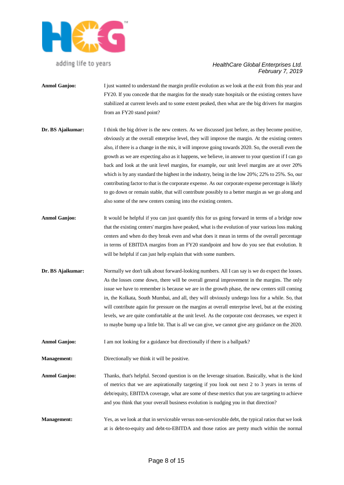

- **Anmol Ganjoo:** I just wanted to understand the margin profile evolution as we look at the exit from this year and FY20. If you concede that the margins for the steady state hospitals or the existing centers have stabilized at current levels and to some extent peaked, then what are the big drivers for margins from an FY20 stand point?
- **Dr. BS Ajaikumar:** I think the big driver is the new centers. As we discussed just before, as they become positive, obviously at the overall enterprise level, they will improve the margin. At the existing centers also, if there is a change in the mix, it will improve going towards 2020. So, the overall even the growth as we are expecting also as it happens, we believe, in answer to your question if I can go back and look at the unit level margins, for example, our unit level margins are at over 20% which is by any standard the highest in the industry, being in the low 20%; 22% to 25%. So, our contributing factor to that is the corporate expense. As our corporate expense percentage is likely to go down or remain stable, that will contribute possibly to a better margin as we go along and also some of the new centers coming into the existing centers.
- **Anmol Ganjoo:** It would be helpful if you can just quantify this for us going forward in terms of a bridge now that the existing centers' margins have peaked, what is the evolution of your various loss making centers and when do they break even and what does it mean in terms of the overall percentage in terms of EBITDA margins from an FY20 standpoint and how do you see that evolution. It will be helpful if can just help explain that with some numbers.
- **Dr. BS Ajaikumar:** Normally we don't talk about forward-looking numbers. All I can say is we do expect the losses. As the losses come down, there will be overall general improvement in the margins. The only issue we have to remember is because we are in the growth phase, the new centers still coming in, the Kolkata, South Mumbai, and all, they will obviously undergo loss for a while. So, that will contribute again for pressure on the margins at overall enterprise level, but at the existing levels, we are quite comfortable at the unit level. As the corporate cost decreases, we expect it to maybe bump up a little bit. That is all we can give, we cannot give any guidance on the 2020.
- **Anmol Ganjoo:** I am not looking for a guidance but directionally if there is a ballpark?
- **Management:** Directionally we think it will be positive.
- **Anmol Ganjoo:** Thanks, that's helpful. Second question is on the leverage situation. Basically, what is the kind of metrics that we are aspirationally targeting if you look out next 2 to 3 years in terms of debt/equity, EBITDA coverage, what are some of these metrics that you are targeting to achieve and you think that your overall business evolution is nudging you in that direction?
- **Management:** Yes, as we look at that in serviceable versus non-serviceable debt, the typical ratios that we look at is debt-to-equity and debt-to-EBITDA and those ratios are pretty much within the normal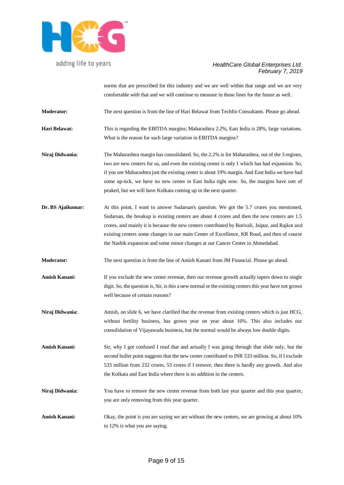

# *HealthCare Global Enterprises Ltd. February 7, 2019*

norms that are prescribed for this industry and we are well within that range and we are very comfortable with that and we will continue to measure in those lines for the future as well.

**Moderator:** The next question is from the line of Hari Belawat from Techfin Consultants. Please go ahead.

**Hari Belawat:** This is regarding the EBITDA margins; Maharashtra 2.2%, East India is 28%, large variations. What is the reason for such large variation in EBITDA margins?

**Niraj Didwania:** The Maharashtra margin has consolidated. So, the 2.2% is for Maharashtra, out of the 3 regions, two are new centers for us, and even the existing center is only 1 which has had expansion. So, if you see Maharashtra just the existing center is about 19% margin. And East India we have had some up-tick, we have no new center in East India right now. So, the margins have sort of peaked, but we will have Kolkata coming up in the next quarter.

- **Dr. BS Ajaikumar:** At this point, I want to answer Sudarsan's question. We got the 5.7 crores you mentioned, Sudarsan, the breakup is existing centers are about 4 crores and then the new centers are 1.5 crores, and mainly it is because the new centers contributed by Borivali, Jaipur, and Rajkot and existing centers some changes in our main Center of Excellence, KR Road, and then of course the Nashik expansion and some minor changes at our Cancer Center in Ahmedabad.
- **Moderator:** The next question is from the line of Amish Kanani from JM Financial. Please go ahead.
- **Amish Kanani:** If you exclude the new center revenue, then our revenue growth actually tapers down to single digit. So, the question is, Sir, is this a new normal or the existing centers this year have not grown well because of certain reasons?
- **Niraj Didwania:** Amish, on slide 6, we have clarified that the revenue from existing centers which is just HCG, without fertility business, has grown year on year about 16%. This also includes our consolidation of Vijayawada business, but the normal would be always low double digits.
- **Amish Kanani:** Sir, why I got confused I read that and actually I was going through that slide only, but the second bullet point suggests that the new center contributed to INR 533 million. So, if I exclude 533 million from 232 crores, 53 crores if I remove, then there is hardly any growth. And also the Kolkata and East India where there is no addition in the centers.
- **Niraj Didwania:** You have to remove the new center revenue from both last year quarter and this year quarter, you are only removing from this year quarter.
- **Amish Kanani:** Okay, the point is you are saying we are without the new centers, we are growing at about 10% to 12% is what you are saying.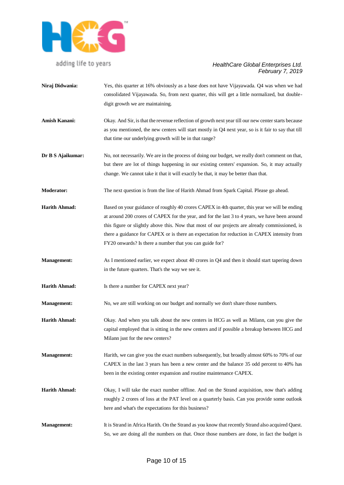

- **Niraj Didwania:** Yes, this quarter at 16% obviously as a base does not have Vijayawada. Q4 was when we had consolidated Vijayawada. So, from next quarter, this will get a little normalized, but doubledigit growth we are maintaining.
- **Amish Kanani:** Okay. And Sir, is that the revenue reflection of growth next year till our new center starts because as you mentioned, the new centers will start mostly in Q4 next year, so is it fair to say that till that time our underlying growth will be in that range?
- **Dr B S Ajaikumar:** No, not necessarily. We are in the process of doing our budget, we really don't comment on that, but there are lot of things happening in our existing centers' expansion. So, it may actually change. We cannot take it that it will exactly be that, it may be better than that.
- **Moderator:** The next question is from the line of Harith Ahmad from Spark Capital. Please go ahead.
- **Harith Ahmad:** Based on your guidance of roughly 40 crores CAPEX in 4th quarter, this year we will be ending at around 200 crores of CAPEX for the year, and for the last 3 to 4 years, we have been around this figure or slightly above this. Now that most of our projects are already commissioned, is there a guidance for CAPEX or is there an expectation for reduction in CAPEX intensity from FY20 onwards? Is there a number that you can guide for?
- **Management:** As I mentioned earlier, we expect about 40 crores in Q4 and then it should start tapering down in the future quarters. That's the way we see it.
- **Harith Ahmad:** Is there a number for CAPEX next year?
- **Management:** No, we are still working on our budget and normally we don't share those numbers.
- **Harith Ahmad:** Okay. And when you talk about the new centers in HCG as well as Milann, can you give the capital employed that is sitting in the new centers and if possible a breakup between HCG and Milann just for the new centers?
- **Management:** Harith, we can give you the exact numbers subsequently, but broadly almost 60% to 70% of our CAPEX in the last 3 years has been a new center and the balance 35 odd percent to 40% has been in the existing center expansion and routine maintenance CAPEX.
- **Harith Ahmad:** Okay, I will take the exact number offline. And on the Strand acquisition, now that's adding roughly 2 crores of loss at the PAT level on a quarterly basis. Can you provide some outlook here and what's the expectations for this business?
- **Management:** It is Strand in Africa Harith. On the Strand as you know that recently Strand also acquired Quest. So, we are doing all the numbers on that. Once those numbers are done, in fact the budget is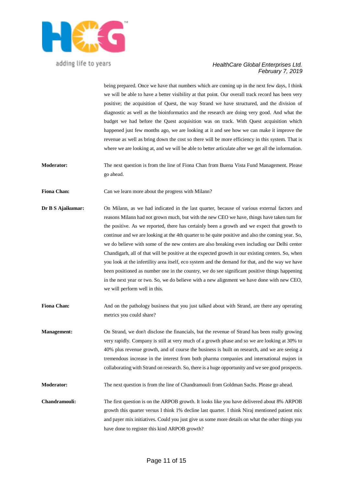

#### *HealthCare Global Enterprises Ltd. February 7, 2019*

being prepared. Once we have that numbers which are coming up in the next few days, I think we will be able to have a better visibility at that point. Our overall track record has been very positive; the acquisition of Quest, the way Strand we have structured, and the division of diagnostic as well as the bioinformatics and the research are doing very good. And what the budget we had before the Quest acquisition was on track. With Quest acquisition which happened just few months ago, we are looking at it and see how we can make it improve the revenue as well as bring down the cost so there will be more efficiency in this system. That is where we are looking at, and we will be able to better articulate after we get all the information.

**Moderator:** The next question is from the line of Fiona Chan from Buena Vista Fund Management. Please go ahead.

**Fiona Chan:** Can we learn more about the progress with Milann?

- **Dr B S Ajaikumar:** On Milann, as we had indicated in the last quarter, because of various external factors and reasons Milann had not grown much, but with the new CEO we have, things have taken turn for the positive. As we reported, there has certainly been a growth and we expect that growth to continue and we are looking at the 4th quarter to be quite positive and also the coming year. So, we do believe with some of the new centers are also breaking even including our Delhi center Chandigarh, all of that will be positive at the expected growth in our existing centers. So, when you look at the infertility area itself, eco system and the demand for that, and the way we have been positioned as number one in the country, we do see significant positive things happening in the next year or two. So, we do believe with a new alignment we have done with new CEO, we will perform well in this.
- **Fiona Chan:** And on the pathology business that you just talked about with Strand, are there any operating metrics you could share?

**Management:** On Strand, we don't disclose the financials, but the revenue of Strand has been really growing very rapidly. Company is still at very much of a growth phase and so we are looking at 30% to 40% plus revenue growth, and of course the business is built on research, and we are seeing a tremendous increase in the interest from both pharma companies and international majors in collaborating with Strand on research. So, there is a huge opportunity and we see good prospects.

**Moderator:** The next question is from the line of Chandramouli from Goldman Sachs. Please go ahead.

**Chandramouli:** The first question is on the ARPOB growth. It looks like you have delivered about 8% ARPOB growth this quarter versus I think 1% decline last quarter. I think Niraj mentioned patient mix and payer mix initiatives. Could you just give us some more details on what the other things you have done to register this kind ARPOB growth?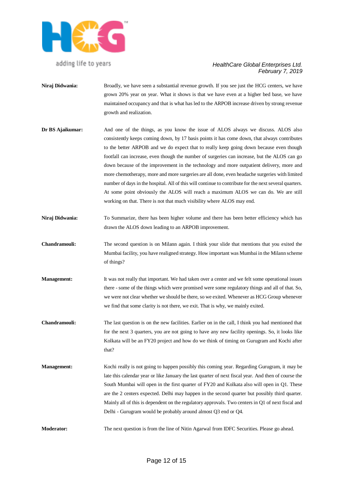

- **Niraj Didwania:** Broadly, we have seen a substantial revenue growth. If you see just the HCG centers, we have grown 20% year on year. What it shows is that we have even at a higher bed base, we have maintained occupancy and that is what has led to the ARPOB increase driven by strong revenue growth and realization.
- **Dr BS Ajaikumar:** And one of the things, as you know the issue of ALOS always we discuss. ALOS also consistently keeps coming down, by 17 basis points it has come down, that always contributes to the better ARPOB and we do expect that to really keep going down because even though footfall can increase, even though the number of surgeries can increase, but the ALOS can go down because of the improvement in the technology and more outpatient delivery, more and more chemotherapy, more and more surgeries are all done, even headache surgeries with limited number of days in the hospital. All of this will continue to contribute for the next several quarters. At some point obviously the ALOS will reach a maximum ALOS we can do. We are still working on that. There is not that much visibility where ALOS may end.
- **Niraj Didwania:** To Summarize, there has been higher volume and there has been better efficiency which has drawn the ALOS down leading to an ARPOB improvement.
- **Chandramouli:** The second question is on Milann again. I think your slide that mentions that you exited the Mumbai facility, you have realigned strategy. How important was Mumbai in the Milann scheme of things?
- **Management:** It was not really that important. We had taken over a center and we felt some operational issues there - some of the things which were promised were some regulatory things and all of that. So, we were not clear whether we should be there, so we exited. Whenever as HCG Group whenever we find that some clarity is not there, we exit. That is why, we mainly exited.
- **Chandramouli:** The last question is on the new facilities. Earlier on in the call, I think you had mentioned that for the next 3 quarters, you are not going to have any new facility openings. So, it looks like Kolkata will be an FY20 project and how do we think of timing on Gurugram and Kochi after that?
- **Management:** Kochi really is not going to happen possibly this coming year. Regarding Gurugram, it may be late this calendar year or like January the last quarter of next fiscal year. And then of course the South Mumbai will open in the first quarter of FY20 and Kolkata also will open in Q1. These are the 2 centers expected. Delhi may happen in the second quarter but possibly third quarter. Mainly all of this is dependent on the regulatory approvals. Two centers in Q1 of next fiscal and Delhi - Gurugram would be probably around almost Q3 end or Q4.
- **Moderator:** The next question is from the line of Nitin Agarwal from IDFC Securities. Please go ahead.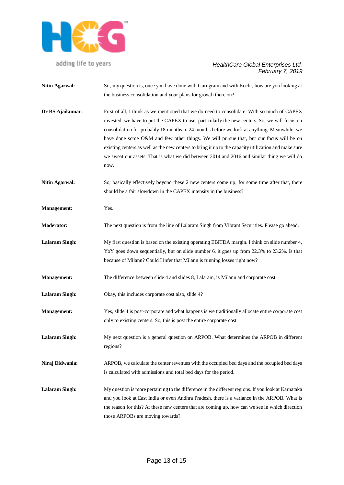

# *HealthCare Global Enterprises Ltd. February 7, 2019*

**Nitin Agarwal:** Sir, my question is, once you have done with Gurugram and with Kochi, how are you looking at the business consolidation and your plans for growth there on? **Dr BS Ajaikumar:** First of all, I think as we mentioned that we do need to consolidate. With so much of CAPEX invested, we have to put the CAPEX to use, particularly the new centers. So, we will focus on consolidation for probably 18 months to 24 months before we look at anything. Meanwhile, we have done some O&M and few other things. We will pursue that, but our focus will be on existing centers as well as the new centers to bring it up to the capacity utilization and make sure we sweat our assets. That is what we did between 2014 and 2016 and similar thing we will do now. **Nitin Agarwal:** So, basically effectively beyond these 2 new centers come up, for some time after that, there should be a fair slowdown in the CAPEX intensity in the business? **Management:** Yes. **Moderator:** The next question is from the line of Lalaram Singh from Vibrant Securities. Please go ahead. **Lalaram Singh:** My first question is based on the existing operating EBITDA margin. I think on slide number 4, YoY goes down sequentially, but on slide number 6, it goes up from 22.3% to 23.2%. Is that because of Milann? Could I infer that Milann is running losses right now? **Management:** The difference between slide 4 and slides 8, Lalaram, is Milann and corporate cost. **Lalaram Singh:** Okay, this includes corporate cost also, slide 4? **Management:** Yes, slide 4 is post-corporate and what happens is we traditionally allocate entire corporate cost only to existing centers. So, this is post the entire corporate cost. **Lalaram Singh:** My next question is a general question on ARPOB. What determines the ARPOB in different regions? **Niraj Didwania:** ARPOB, we calculate the center revenues with the occupied bed days and the occupied bed days is calculated with admissions and total bed days for the period**. Lalaram Singh:** My question is more pertaining to the difference in the different regions. If you look at Karnataka and you look at East India or even Andhra Pradesh, there is a variance in the ARPOB. What is the reason for this? At these new centers that are coming up, how can we see in which direction those ARPOBs are moving towards?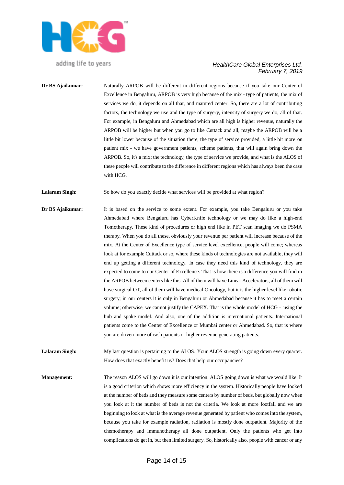

#### *HealthCare Global Enterprises Ltd. February 7, 2019*

**Dr BS Ajaikumar:** Naturally ARPOB will be different in different regions because if you take our Center of Excellence in Bengaluru, ARPOB is very high because of the mix - type of patients, the mix of services we do, it depends on all that, and matured center. So, there are a lot of contributing factors, the technology we use and the type of surgery, intensity of surgery we do, all of that. For example, in Bengaluru and Ahmedabad which are all high is higher revenue, naturally the ARPOB will be higher but when you go to like Cuttack and all, maybe the ARPOB will be a little bit lower because of the situation there, the type of service provided, a little bit more on patient mix - we have government patients, scheme patients, that will again bring down the ARPOB. So, it's a mix; the technology, the type of service we provide, and what is the ALOS of these people will contribute to the difference in different regions which has always been the case with HCG.

**Lalaram Singh:** So how do you exactly decide what services will be provided at what region?

**Dr BS Ajaikumar:** It is based on the service to some extent. For example, you take Bengaluru or you take Ahmedabad where Bengaluru has CyberKnife technology or we may do like a high-end Tomotherapy. These kind of procedures or high end like in PET scan imaging we do PSMA therapy. When you do all these, obviously your revenue per patient will increase because of the mix. At the Center of Excellence type of service level excellence, people will come; whereas look at for example Cuttack or so, where these kinds of technologies are not available, they will end up getting a different technology. In case they need this kind of technology, they are expected to come to our Center of Excellence. That is how there is a difference you will find in the ARPOB between centers like this. All of them will have Linear Accelerators, all of them will have surgical OT, all of them will have medical Oncology, but it is the higher level like robotic surgery; in our centers it is only in Bengaluru or Ahmedabad because it has to meet a certain volume; otherwise, we cannot justify the CAPEX. That is the whole model of HCG - using the hub and spoke model. And also, one of the addition is international patients. International patients come to the Center of Excellence or Mumbai center or Ahmedabad. So, that is where you are driven more of cash patients or higher revenue generating patients.

Lalaram Singh: My last question is pertaining to the ALOS. Your ALOS strength is going down every quarter. How does that exactly benefit us? Does that help our occupancies?

**Management:** The reason ALOS will go down it is our intention. ALOS going down is what we would like. It is a good criterion which shows more efficiency in the system. Historically people have looked at the number of beds and they measure some centers by number of beds, but globally now when you look at it the number of beds is not the criteria. We look at more footfall and we are beginning to look at what is the average revenue generated by patient who comes into the system, because you take for example radiation, radiation is mostly done outpatient. Majority of the chemotherapy and immunotherapy all done outpatient. Only the patients who get into complications do get in, but then limited surgery. So, historically also, people with cancer or any